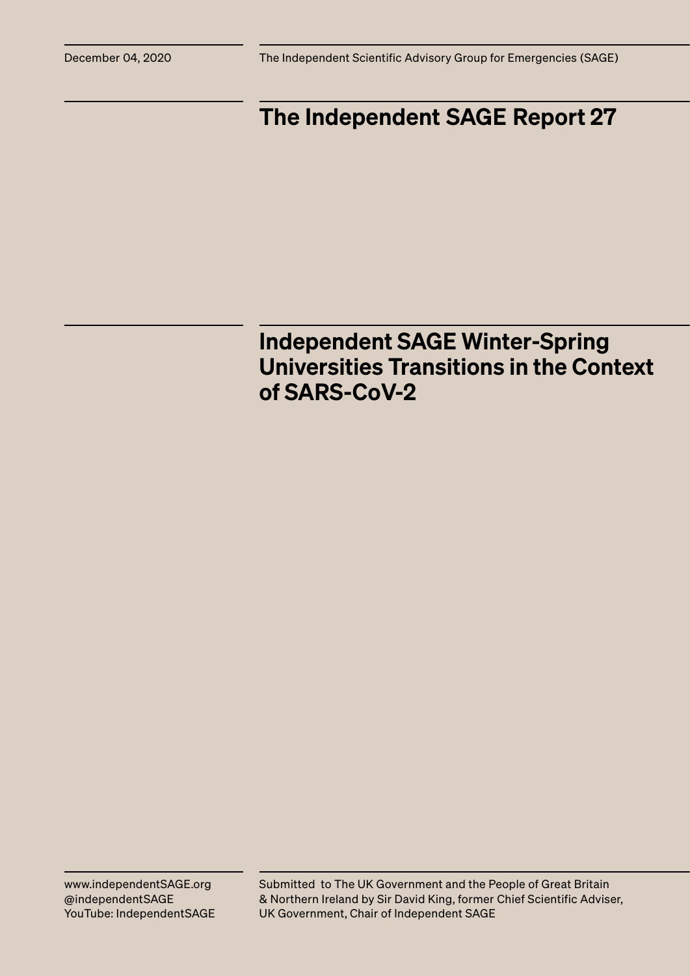## The Independent SAGE Report 27

### Independent SAGE Winter-Spring Universities Transitions in the Context of SARS-CoV-2

Submitted to The UK Government and the People of Great Britain & Northern Ireland by Sir David King, former Chief Scientific Adviser, UK Government, Chair of Independent SAGE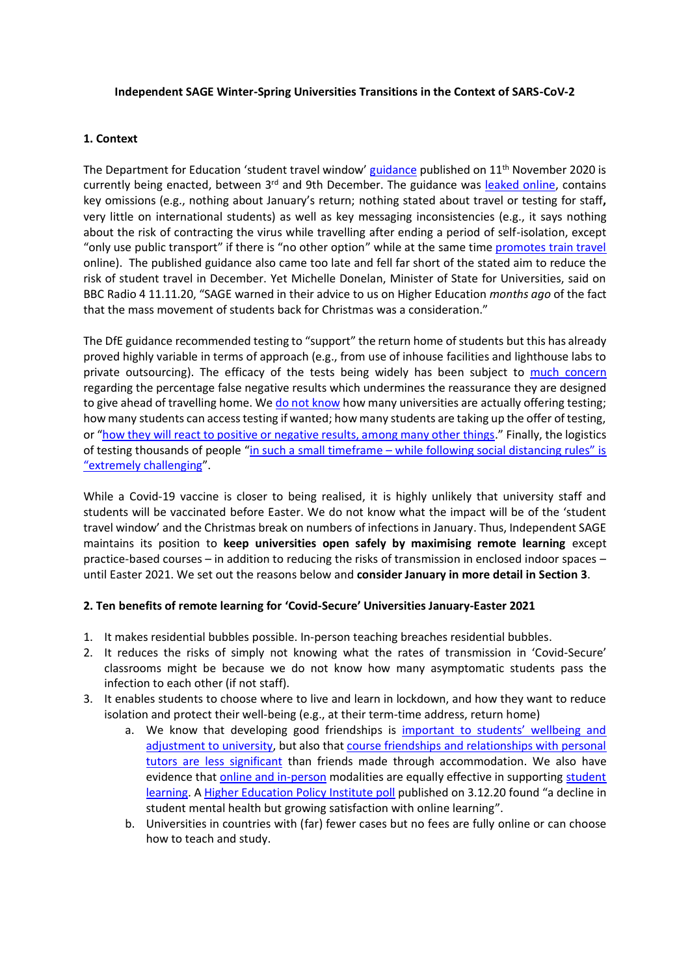#### **Independent SAGE Winter-Spring Universities Transitions in the Context of SARS-CoV-2**

#### **1. Context**

The Department for Education 'student travel window' [guidance](https://www.gov.uk/government/publications/higher-education-reopening-buildings-and-campuses/student-movement-and-plans-for-the-end-of-autumn-2020-term) published on 11<sup>th</sup> November 2020 is currently being enacted, between 3<sup>rd</sup> and 9th December. The guidance was [leaked online,](https://twitter.com/markmleach/status/1326149145984372742) contains key omissions (e.g., nothing about January's return; nothing stated about travel or testing for staff**,**  very little on international students) as well as key messaging inconsistencies (e.g., it says nothing about the risk of contracting the virus while travelling after ending a period of self-isolation, except "only use public transport" if there is "no other option" while at the same time [promotes train travel](https://twitter.com/educationgovuk/status/1326436918096236544) online). The published guidance also came too late and fell far short of the stated aim to reduce the risk of student travel in December. Yet Michelle Donelan, Minister of State for Universities, said on BBC Radio 4 11.11.20, "SAGE warned in their advice to us on Higher Education *months ago* of the fact that the mass movement of students back for Christmas was a consideration."

The DfE guidance recommended testing to "support" the return home of students but this has already proved highly variable in terms of approach (e.g., from use of inhouse facilities and lighthouse labs to private outsourcing). The efficacy of the tests being widely has been subject to [much concern](https://blogs.bmj.com/bmj/2020/12/01/margaret-mccartney-christmas-covid-19-testing-for-students-needs-independent-oversight/) regarding the percentage false negative results which undermines the reassurance they are designed to give ahead of travelling home. We [do not know](https://www.bbc.co.uk/news/education-55106312) how many universities are actually offering testing; how many students can access testing if wanted; how many students are taking up the offer of testing, or "[how they will react to positive or negative results, among many other things.](https://www.theguardian.com/commentisfree/2020/dec/01/uk-students-tests-coronavirus-testing-university-false-negative-results?CMP=fb_cif)" Finally, the logistics of testing thousands of people "in such a small timeframe – while following social distancing rules" is ["extremely challenging"](https://www.theguardian.com/education/2020/nov/28/christmas-covid-testing-for-uk-students-a-recipe-for-chaos-says-union?CMP=Share_iOSApp_Other).

While a Covid-19 vaccine is closer to being realised, it is highly unlikely that university staff and students will be vaccinated before Easter. We do not know what the impact will be of the 'student travel window' and the Christmas break on numbers of infections in January. Thus, Independent SAGE maintains its position to **keep universities open safely by maximising remote learning** except practice-based courses – in addition to reducing the risks of transmission in enclosed indoor spaces – until Easter 2021. We set out the reasons below and **consider January in more detail in Section 3**.

#### **2. Ten benefits of remote learning for 'Covid-Secure' Universities January-Easter 2021**

- 1. It makes residential bubbles possible. In-person teaching breaches residential bubbles.
- 2. It reduces the risks of simply not knowing what the rates of transmission in 'Covid-Secure' classrooms might be because we do not know how many asymptomatic students pass the infection to each other (if not staff).
- 3. It enables students to choose where to live and learn in lockdown, and how they want to reduce isolation and protect their well-being (e.g., at their term-time address, return home)
	- a. We know that developing good friendships is [important to students' wellbeing and](https://journals.sagepub.com/doi/abs/10.1177/0743558407306344)  [adjustment to university,](https://journals.sagepub.com/doi/abs/10.1177/0743558407306344) but also tha[t course friendships and relationships with personal](https://www.tandfonline.com/doi/abs/10.1080/03075070500340036)  [tutors are less significant](https://www.tandfonline.com/doi/abs/10.1080/03075070500340036) than friends made through accommodation. We also have evidence that **online and in-person** modalities are equally effective in supporting **student** [learning.](https://journals.sagepub.com/doi/10.1177/2373379920963660) A [Higher Education Policy Institute poll](https://www.hepi.ac.uk/2020/12/03/new-poll-finds-a-decline-in-student-mental-health-but-growing-satisfaction-with-online-learning/) published on 3.12.20 found "a decline in student mental health but growing satisfaction with online learning".
	- b. Universities in countries with (far) fewer cases but no fees are fully online or can choose how to teach and study.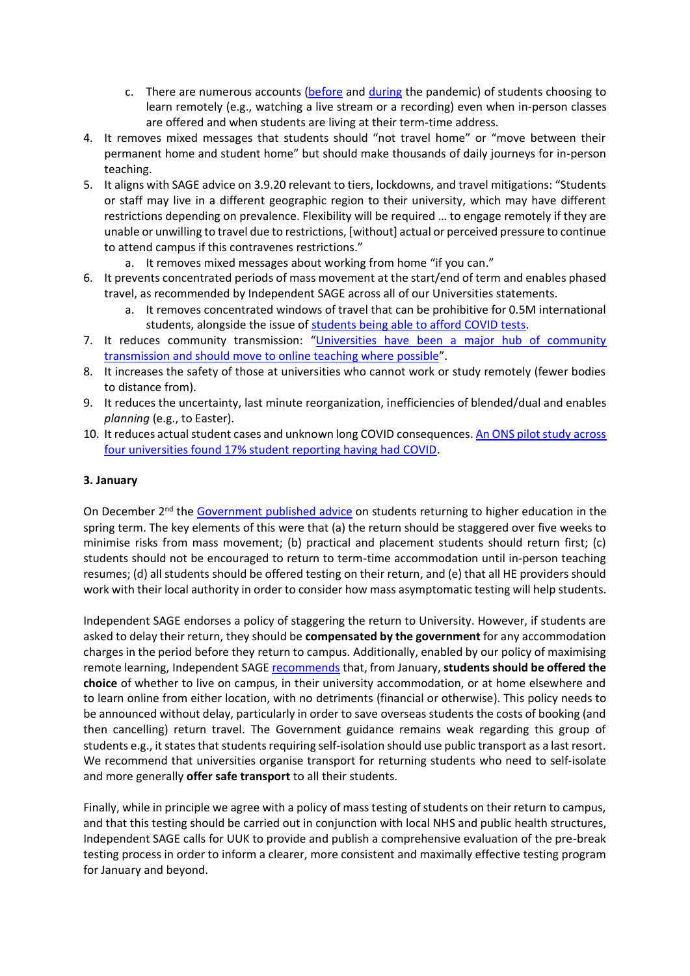- c. There are numerous accounts [\(before](https://twitter.com/DannyHatters/status/1169864124274106368) and [during](https://twitter.com/PlashingVole/status/1334131595536703488) the pandemic) of students choosing to learn remotely (e.g., watching a live stream or a recording) even when in-person classes are offered and when students are living at their term-time address.
- 4. It removes mixed messages that students should "not travel home" or "move between their permanent home and student home" but should make thousands of daily journeys for in-person teaching.
- 5. It aligns with SAGE advice on 3.9.20 relevant to tiers, lockdowns, and travel mitigations: "Students or staff may live in a different geographic region to their university, which may have different restrictions depending on prevalence. Flexibility will be required … to engage remotely if they are unable or unwilling to travel due to restrictions, [without] actual or perceived pressure to continue to attend campus if this contravenes restrictions."
	- a. It removes mixed messages about working from home "if you can."
- 6. It prevents concentrated periods of mass movement at the start/end of term and enables phased travel, as recommended by Independent SAGE across all of our Universities statements.
	- a. It removes concentrated windows of travel that can be prohibitive for 0.5M international students, alongside the issue of [students being able to afford COVID tests.](https://globalcomment.com/the-outrageous-expenses-of-going-home-international-students-in-the-uk-stuck-due-to-covid-test-costs/)
- 7. It reduces community transmission: "[Universities have been a major hub of community](https://www.thelancet.com/journals/lancet/article/PIIS0140-6736(20)32350-3/fulltext)  [transmission and should move to online teaching where possible](https://www.thelancet.com/journals/lancet/article/PIIS0140-6736(20)32350-3/fulltext)".
- 8. It increases the safety of those at universities who cannot work or study remotely (fewer bodies to distance from).
- 9. It reduces the uncertainty, last minute reorganization, inefficiencies of blended/dual and enables *planning* (e.g., to Easter).
- 10. It reduces actual student cases and unknown long COVID consequences[. An ONS pilot study across](https://wonkhe.com/blogs/did-students-and-universities-squeeze-through-the-pitfalls-of-the-pandemic/)  [four universities found 17% student reporting having had COVID.](https://wonkhe.com/blogs/did-students-and-universities-squeeze-through-the-pitfalls-of-the-pandemic/)

#### **3. January**

On December 2<sup>nd</sup> th[e Government published advice](https://www.gov.uk/government/publications/higher-education-reopening-buildings-and-campuses/students-returning-to-higher-education-from-spring-term) on students returning to higher education in the spring term. The key elements of this were that (a) the return should be staggered over five weeks to minimise risks from mass movement; (b) practical and placement students should return first; (c) students should not be encouraged to return to term-time accommodation until in-person teaching resumes; (d) all students should be offered testing on their return, and (e) that all HE providers should work with their local authority in order to consider how mass asymptomatic testing will help students.

Independent SAGE endorses a policy of staggering the return to University. However, if students are asked to delay their return, they should be **compensated by the government** for any accommodation charges in the period before they return to campus. Additionally, enabled by our policy of maximising remote learning, Independent SAGE [recommends](https://www.independentsage.org/independent-sage-statement-on-university-winter-term-2020-and-winter-spring-transitions-in-the-context-of-sars-cov-2/) that, from January, **students should be offered the choice** of whether to live on campus, in their university accommodation, or at home elsewhere and to learn online from either location, with no detriments (financial or otherwise). This policy needs to be announced without delay, particularly in order to save overseas students the costs of booking (and then cancelling) return travel. The Government guidance remains weak regarding this group of students e.g., it states that students requiring self-isolation should use public transport as a last resort. We recommend that universities organise transport for returning students who need to self-isolate and more generally **offer safe transport** to all their students.

Finally, while in principle we agree with a policy of mass testing of students on their return to campus, and that this testing should be carried out in conjunction with local NHS and public health structures, Independent SAGE calls for UUK to provide and publish a comprehensive evaluation of the pre-break testing process in order to inform a clearer, more consistent and maximally effective testing program for January and beyond.